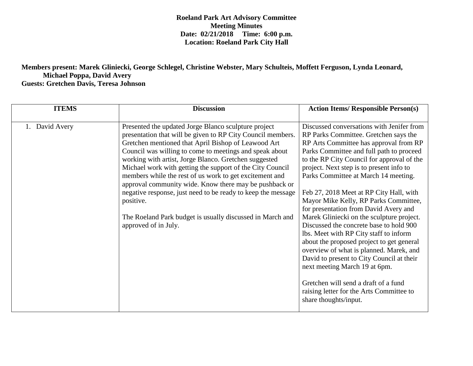**Roeland Park Art Advisory Committee Meeting Minutes Date: 02/21/2018 Time: 6:00 p.m. Location: Roeland Park City Hall**

## **Members present: Marek Gliniecki, George Schlegel, Christine Webster, Mary Schulteis, Moffett Ferguson, Lynda Leonard, Michael Poppa, David Avery Guests: Gretchen Davis, Teresa Johnson**

| <b>ITEMS</b> | <b>Discussion</b>                                                                                                                                                                                                                                                                                                                                                                                                                                                                                                                                                                                                                                  | <b>Action Items/ Responsible Person(s)</b>                                                                                                                                                                                                                                                                                                                                                                                                                                                                                                                                                                                                                                                                                                                                                                                                                   |
|--------------|----------------------------------------------------------------------------------------------------------------------------------------------------------------------------------------------------------------------------------------------------------------------------------------------------------------------------------------------------------------------------------------------------------------------------------------------------------------------------------------------------------------------------------------------------------------------------------------------------------------------------------------------------|--------------------------------------------------------------------------------------------------------------------------------------------------------------------------------------------------------------------------------------------------------------------------------------------------------------------------------------------------------------------------------------------------------------------------------------------------------------------------------------------------------------------------------------------------------------------------------------------------------------------------------------------------------------------------------------------------------------------------------------------------------------------------------------------------------------------------------------------------------------|
| David Avery  | Presented the updated Jorge Blanco sculpture project<br>presentation that will be given to RP City Council members.<br>Gretchen mentioned that April Bishop of Leawood Art<br>Council was willing to come to meetings and speak about<br>working with artist, Jorge Blanco. Gretchen suggested<br>Michael work with getting the support of the City Council<br>members while the rest of us work to get excitement and<br>approval community wide. Know there may be pushback or<br>negative response, just need to be ready to keep the message<br>positive.<br>The Roeland Park budget is usually discussed in March and<br>approved of in July. | Discussed conversations with Jenifer from<br>RP Parks Committee. Gretchen says the<br>RP Arts Committee has approval from RP<br>Parks Committee and full path to proceed<br>to the RP City Council for approval of the<br>project. Next step is to present info to<br>Parks Committee at March 14 meeting.<br>Feb 27, 2018 Meet at RP City Hall, with<br>Mayor Mike Kelly, RP Parks Committee,<br>for presentation from David Avery and<br>Marek Gliniecki on the sculpture project.<br>Discussed the concrete base to hold 900<br>lbs. Meet with RP City staff to inform<br>about the proposed project to get general<br>overview of what is planned. Marek, and<br>David to present to City Council at their<br>next meeting March 19 at 6pm.<br>Gretchen will send a draft of a fund<br>raising letter for the Arts Committee to<br>share thoughts/input. |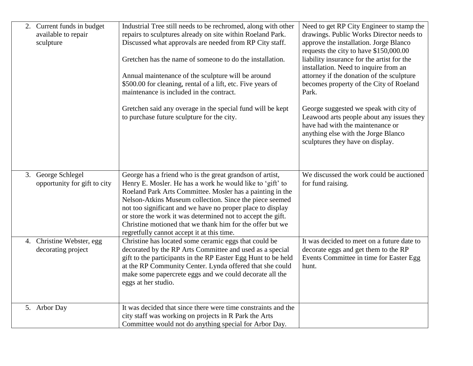| 2. Current funds in budget<br>available to repair<br>sculpture | Industrial Tree still needs to be rechromed, along with other<br>repairs to sculptures already on site within Roeland Park.<br>Discussed what approvals are needed from RP City staff.<br>Gretchen has the name of someone to do the installation.<br>Annual maintenance of the sculpture will be around<br>\$500.00 for cleaning, rental of a lift, etc. Five years of<br>maintenance is included in the contract.<br>Gretchen said any overage in the special fund will be kept<br>to purchase future sculpture for the city. | Need to get RP City Engineer to stamp the<br>drawings. Public Works Director needs to<br>approve the installation. Jorge Blanco<br>requests the city to have \$150,000.00<br>liability insurance for the artist for the<br>installation. Need to inquire from an<br>attorney if the donation of the sculpture<br>becomes property of the City of Roeland<br>Park.<br>George suggested we speak with city of<br>Leawood arts people about any issues they<br>have had with the maintenance or<br>anything else with the Jorge Blanco<br>sculptures they have on display. |
|----------------------------------------------------------------|---------------------------------------------------------------------------------------------------------------------------------------------------------------------------------------------------------------------------------------------------------------------------------------------------------------------------------------------------------------------------------------------------------------------------------------------------------------------------------------------------------------------------------|-------------------------------------------------------------------------------------------------------------------------------------------------------------------------------------------------------------------------------------------------------------------------------------------------------------------------------------------------------------------------------------------------------------------------------------------------------------------------------------------------------------------------------------------------------------------------|
| 3. George Schlegel<br>opportunity for gift to city             | George has a friend who is the great grandson of artist,<br>Henry E. Mosler. He has a work he would like to 'gift' to<br>Roeland Park Arts Committee. Mosler has a painting in the<br>Nelson-Atkins Museum collection. Since the piece seemed<br>not too significant and we have no proper place to display<br>or store the work it was determined not to accept the gift.<br>Christine motioned that we thank him for the offer but we<br>regretfully cannot accept it at this time.                                           | We discussed the work could be auctioned<br>for fund raising.                                                                                                                                                                                                                                                                                                                                                                                                                                                                                                           |
| 4. Christine Webster, egg<br>decorating project                | Christine has located some ceramic eggs that could be<br>decorated by the RP Arts Committee and used as a special<br>gift to the participants in the RP Easter Egg Hunt to be held<br>at the RP Community Center. Lynda offered that she could<br>make some papercrete eggs and we could decorate all the<br>eggs at her studio.                                                                                                                                                                                                | It was decided to meet on a future date to<br>decorate eggs and get them to the RP<br>Events Committee in time for Easter Egg<br>hunt.                                                                                                                                                                                                                                                                                                                                                                                                                                  |
| 5. Arbor Day                                                   | It was decided that since there were time constraints and the<br>city staff was working on projects in R Park the Arts<br>Committee would not do anything special for Arbor Day.                                                                                                                                                                                                                                                                                                                                                |                                                                                                                                                                                                                                                                                                                                                                                                                                                                                                                                                                         |